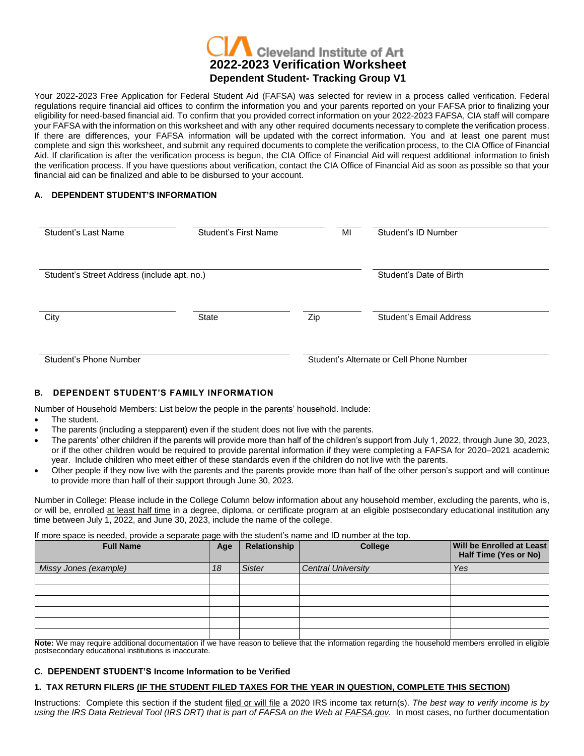# **Cleveland Institute of Art 2022-2023 Verification Worksheet Dependent Student- Tracking Group V1**

Your 2022-2023 Free Application for Federal Student Aid (FAFSA) was selected for review in a process called verification. Federal regulations require financial aid offices to confirm the information you and your parents reported on your FAFSA prior to finalizing your eligibility for need-based financial aid. To confirm that you provided correct information on your 2022-2023 FAFSA, CIA staff will compare your FAFSA with the information on this worksheet and with any other required documents necessary to complete the verification process. If there are differences, your FAFSA information will be updated with the correct information. You and at least one parent must complete and sign this worksheet, and submit any required documents to complete the verification process, to the CIA Office of Financial Aid. If clarification is after the verification process is begun, the CIA Office of Financial Aid will request additional information to finish the verification process. If you have questions about verification, contact the CIA Office of Financial Aid as soon as possible so that your financial aid can be finalized and able to be disbursed to your account.

## **A. DEPENDENT STUDENT'S INFORMATION**

| Student's Last Name                         | Student's First Name | MI  | Student's ID Number                      |
|---------------------------------------------|----------------------|-----|------------------------------------------|
| Student's Street Address (include apt. no.) |                      |     | Student's Date of Birth                  |
| City                                        | State                | Zip | Student's Email Address                  |
| Student's Phone Number                      |                      |     | Student's Alternate or Cell Phone Number |

## **B. DEPENDENT STUDENT'S FAMILY INFORMATION**

Number of Household Members: List below the people in the parents' household. Include:

- The student.
- The parents (including a stepparent) even if the student does not live with the parents.
- The parents' other children if the parents will provide more than half of the children's support from July 1, 2022, through June 30, 2023, or if the other children would be required to provide parental information if they were completing a FAFSA for 2020–2021 academic year. Include children who meet either of these standards even if the children do not live with the parents.
- Other people if they now live with the parents and the parents provide more than half of the other person's support and will continue to provide more than half of their support through June 30, 2023.

Number in College: Please include in the College Column below information about any household member, excluding the parents, who is, or will be, enrolled at least half time in a degree, diploma, or certificate program at an eligible postsecondary educational institution any time between July 1, 2022, and June 30, 2023, include the name of the college.

If more space is needed, provide a separate page with the student's name and ID number at the top.

| <b>Full Name</b>      | Age | Relationship  | <b>College</b>            | Will be Enrolled at Least<br>Half Time (Yes or No) |
|-----------------------|-----|---------------|---------------------------|----------------------------------------------------|
| Missy Jones (example) | 18  | <b>Sister</b> | <b>Central University</b> | Yes                                                |
|                       |     |               |                           |                                                    |
|                       |     |               |                           |                                                    |
|                       |     |               |                           |                                                    |
|                       |     |               |                           |                                                    |
|                       |     |               |                           |                                                    |
|                       |     |               |                           |                                                    |

**Note:** We may require additional documentation if we have reason to believe that the information regarding the household members enrolled in eligible postsecondary educational institutions is inaccurate.

# **C. DEPENDENT STUDENT'S Income Information to be Verified**

## **1. TAX RETURN FILERS (IF THE STUDENT FILED TAXES FOR THE YEAR IN QUESTION, COMPLETE THIS SECTION)**

Instructions: Complete this section if the student filed or will file a 2020 IRS income tax return(s). *The best way to verify income is by using the IRS Data Retrieval Tool (IRS DRT) that is part of FAFSA on the Web at FAFSA.gov.* In most cases, no further documentation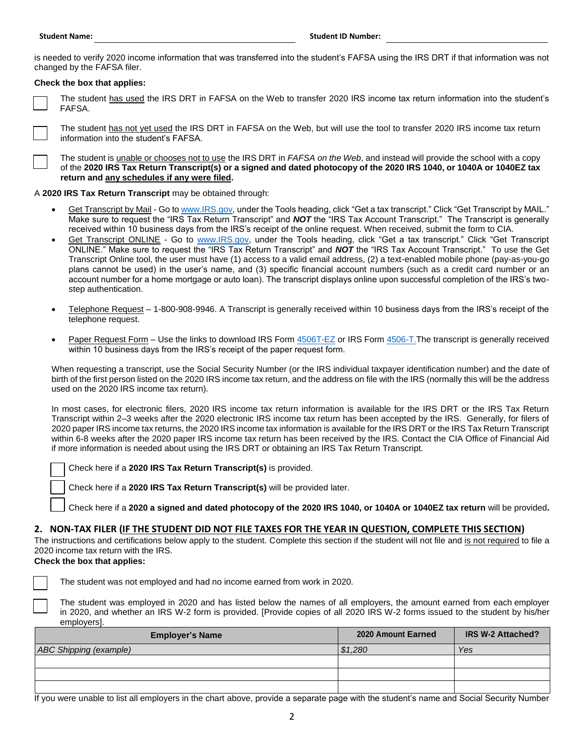is needed to verify 2020 income information that was transferred into the student's FAFSA using the IRS DRT if that information was not changed by the FAFSA filer.

#### **Check the box that applies:**

The student has used the IRS DRT in FAFSA on the Web to transfer 2020 IRS income tax return information into the student's FAFSA.



The student has not yet used the IRS DRT in FAFSA on the Web, but will use the tool to transfer 2020 IRS income tax return information into the student's FAFSA.

The student is unable or chooses not to use the IRS DRT in *FAFSA on the Web*, and instead will provide the school with a copy of the **2020 IRS Tax Return Transcript(s) or a signed and dated photocopy of the 2020 IRS 1040, or 1040A or 1040EZ tax return and any schedules if any were filed.**

## A **2020 IRS Tax Return Transcript** may be obtained through:

- Get Transcript by Mail Go to [www.IRS.gov,](http://www.irs.gov/) under the Tools heading, click "Get a tax transcript." Click "Get Transcript by MAIL." Make sure to request the "IRS Tax Return Transcript" and *NOT* the "IRS Tax Account Transcript." The Transcript is generally received within 10 business days from the IRS's receipt of the online request. When received, submit the form to CIA.
- Get Transcript ONLINE Go to [www.IRS.gov,](http://www.irs.gov/) under the Tools heading, click "Get a tax transcript." Click "Get Transcript ONLINE." Make sure to request the "IRS Tax Return Transcript" and *NOT* the "IRS Tax Account Transcript." To use the Get Transcript Online tool, the user must have (1) access to a valid email address, (2) a text-enabled mobile phone (pay-as-you-go plans cannot be used) in the user's name, and (3) specific financial account numbers (such as a credit card number or an account number for a home mortgage or auto loan). The transcript displays online upon successful completion of the IRS's twostep authentication.
- Telephone Request 1-800-908-9946. A Transcript is generally received within 10 business days from the IRS's receipt of the telephone request.
- Paper Request Form Use the links to download IRS Form [4506T-EZ](https://www.irs.gov/pub/irs-pdf/f4506tez.pdf) or IRS For[m 4506-T.](https://www.irs.gov/pub/irs-pdf/f4506t.pdf) The transcript is generally received within 10 business days from the IRS's receipt of the paper request form.

When requesting a transcript, use the Social Security Number (or the IRS individual taxpayer identification number) and the date of birth of the first person listed on the 2020 IRS income tax return, and the address on file with the IRS (normally this will be the address used on the 2020 IRS income tax return).

In most cases, for electronic filers, 2020 IRS income tax return information is available for the IRS DRT or the IRS Tax Return Transcript within 2–3 weeks after the 2020 electronic IRS income tax return has been accepted by the IRS. Generally, for filers of 2020 paper IRS income tax returns, the 2020 IRS income tax information is available for the IRS DRT or the IRS Tax Return Transcript within 6-8 weeks after the 2020 paper IRS income tax return has been received by the IRS. Contact the CIA Office of Financial Aid if more information is needed about using the IRS DRT or obtaining an IRS Tax Return Transcript.

Check here if a **2020 IRS Tax Return Transcript(s)** is provided.

Check here if a **2020 IRS Tax Return Transcript(s)** will be provided later.

Check here if a **2020 a signed and dated photocopy of the 2020 IRS 1040, or 1040A or 1040EZ tax return** will be provided**.**

## **2. NON-TAX FILER (IF THE STUDENT DID NOT FILE TAXES FOR THE YEAR IN QUESTION, COMPLETE THIS SECTION)**

The instructions and certifications below apply to the student. Complete this section if the student will not file and is not required to file a 2020 income tax return with the IRS.

# **Check the box that applies:**

The student was not employed and had no income earned from work in 2020.

The student was employed in 2020 and has listed below the names of all employers, the amount earned from each employer in 2020, and whether an IRS W-2 form is provided. [Provide copies of all 2020 IRS W-2 forms issued to the student by his/her employers].

| <b>Employer's Name</b> | 2020 Amount Earned | <b>IRS W-2 Attached?</b> |
|------------------------|--------------------|--------------------------|
| ABC Shipping (example) | \$1,280            | Yes                      |
|                        |                    |                          |
|                        |                    |                          |
|                        |                    |                          |

If you were unable to list all employers in the chart above, provide a separate page with the student's name and Social Security Number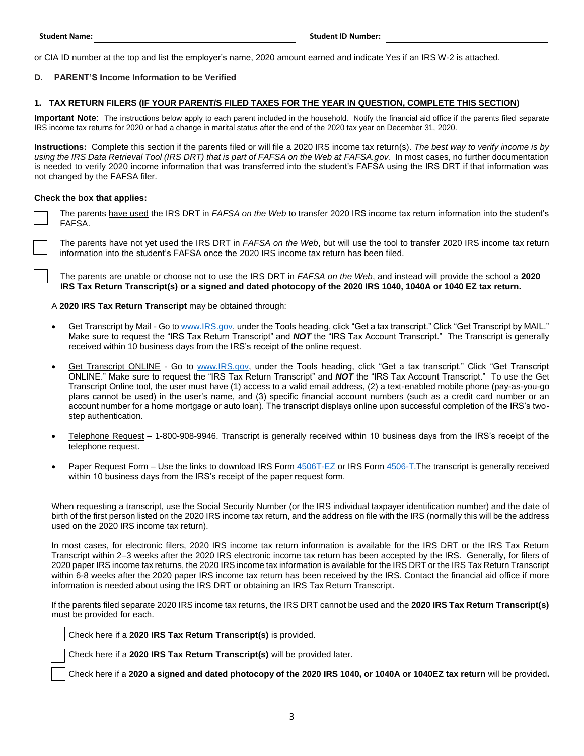or CIA ID number at the top and list the employer's name, 2020 amount earned and indicate Yes if an IRS W-2 is attached.

## **D. PARENT'S Income Information to be Verified**

#### **1. TAX RETURN FILERS (IF YOUR PARENT/S FILED TAXES FOR THE YEAR IN QUESTION, COMPLETE THIS SECTION)**

**Important Note**: The instructions below apply to each parent included in the household. Notify the financial aid office if the parents filed separate IRS income tax returns for 2020 or had a change in marital status after the end of the 2020 tax year on December 31, 2020.

**Instructions:** Complete this section if the parents filed or will file a 2020 IRS income tax return(s). *The best way to verify income is by using the IRS Data Retrieval Tool (IRS DRT) that is part of FAFSA on the Web at FAFSA.gov.* In most cases, no further documentation is needed to verify 2020 income information that was transferred into the student's FAFSA using the IRS DRT if that information was not changed by the FAFSA filer.

#### **Check the box that applies:**

The parents have used the IRS DRT in *FAFSA on the Web* to transfer 2020 IRS income tax return information into the student's FAFSA.

The parents have not yet used the IRS DRT in *FAFSA on the Web*, but will use the tool to transfer 2020 IRS income tax return information into the student's FAFSA once the 2020 IRS income tax return has been filed.

The parents are unable or choose not to use the IRS DRT in *FAFSA on the Web*, and instead will provide the school a **2020 IRS Tax Return Transcript(s) or a signed and dated photocopy of the 2020 IRS 1040, 1040A or 1040 EZ tax return.**

A **2020 IRS Tax Return Transcript** may be obtained through:

- Get Transcript by Mail Go to [www.IRS.gov,](http://www.irs.gov/) under the Tools heading, click "Get a tax transcript." Click "Get Transcript by MAIL." Make sure to request the "IRS Tax Return Transcript" and *NOT* the "IRS Tax Account Transcript." The Transcript is generally received within 10 business days from the IRS's receipt of the online request.
- Get Transcript ONLINE Go to [www.IRS.gov,](http://www.irs.gov/) under the Tools heading, click "Get a tax transcript." Click "Get Transcript ONLINE." Make sure to request the "IRS Tax Return Transcript" and *NOT* the "IRS Tax Account Transcript." To use the Get Transcript Online tool, the user must have (1) access to a valid email address, (2) a text-enabled mobile phone (pay-as-you-go plans cannot be used) in the user's name, and (3) specific financial account numbers (such as a credit card number or an account number for a home mortgage or auto loan). The transcript displays online upon successful completion of the IRS's twostep authentication.
- Telephone Request 1-800-908-9946. Transcript is generally received within 10 business days from the IRS's receipt of the telephone request.
- Paper Request Form Use the links to download IRS Form [4506T-EZ](https://www.irs.gov/pub/irs-pdf/f4506tez.pdf) or IRS For[m 4506-T.](https://www.irs.gov/pub/irs-pdf/f4506t.pdf)The transcript is generally received within 10 business days from the IRS's receipt of the paper request form.

When requesting a transcript, use the Social Security Number (or the IRS individual taxpayer identification number) and the date of birth of the first person listed on the 2020 IRS income tax return, and the address on file with the IRS (normally this will be the address used on the 2020 IRS income tax return).

In most cases, for electronic filers, 2020 IRS income tax return information is available for the IRS DRT or the IRS Tax Return Transcript within 2–3 weeks after the 2020 IRS electronic income tax return has been accepted by the IRS. Generally, for filers of 2020 paper IRS income tax returns, the 2020 IRS income tax information is available for the IRS DRT or the IRS Tax Return Transcript within 6-8 weeks after the 2020 paper IRS income tax return has been received by the IRS. Contact the financial aid office if more information is needed about using the IRS DRT or obtaining an IRS Tax Return Transcript.

If the parents filed separate 2020 IRS income tax returns, the IRS DRT cannot be used and the **2020 IRS Tax Return Transcript(s)** must be provided for each.

Check here if a **2020 IRS Tax Return Transcript(s)** is provided.

Check here if a **2020 IRS Tax Return Transcript(s)** will be provided later.

Check here if a **2020 a signed and dated photocopy of the 2020 IRS 1040, or 1040A or 1040EZ tax return** will be provided**.**